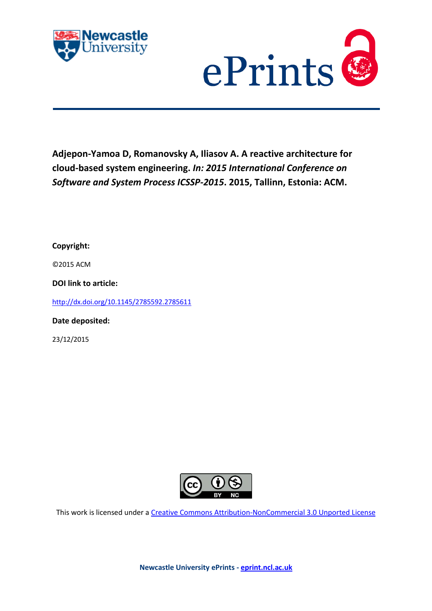



# **Adjepon-Yamoa D, Romanovsky A, Iliasov A. A reactive architecture for cloud-based system engineering.** *In: 2015 International Conference on Software and System Process ICSSP-2015***. 2015, Tallinn, Estonia: ACM.**

**Copyright:**

©2015 ACM

**DOI link to article:**

<http://dx.doi.org/10.1145/2785592.2785611>

**Date deposited:** 

23/12/2015



This work is licensed under a [Creative Commons Attribution-NonCommercial 3.0 Unported License](http://creativecommons.org/licenses/by-nc/3.0/deed.en_GB)

**Newcastle University ePrints - [eprint.ncl.ac.uk](http://eprint.ncl.ac.uk/)**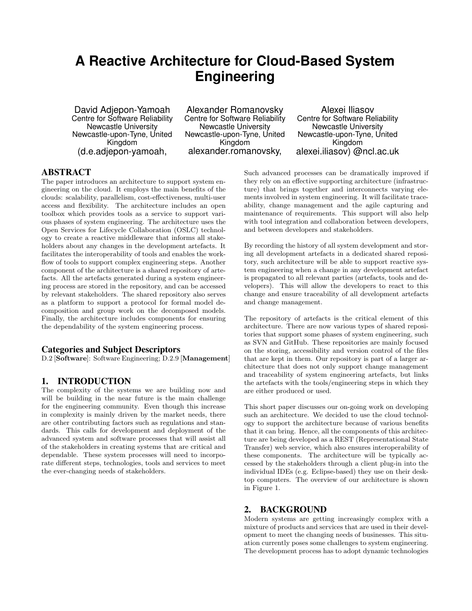# **A Reactive Architecture for Cloud-Based System Engineering**

David Adjepon-Yamoah Centre for Software Reliability Newcastle University Newcastle-upon-Tyne, United Kingdom (d.e.adjepon-yamoah,

Alexander Romanovsky Centre for Software Reliability Newcastle University Newcastle-upon-Tyne, United Kingdom alexander.romanovsky,

Alexei Iliasov Centre for Software Reliability Newcastle University Newcastle-upon-Tyne, United Kingdom alexei.iliasov) @ncl.ac.uk

## ABSTRACT

The paper introduces an architecture to support system engineering on the cloud. It employs the main benefits of the clouds: scalability, parallelism, cost-effectiveness, multi-user access and flexibility. The architecture includes an open toolbox which provides tools as a service to support various phases of system engineering. The architecture uses the Open Services for Lifecycle Collaboration (OSLC) technology to create a reactive middleware that informs all stakeholders about any changes in the development artefacts. It facilitates the interoperability of tools and enables the workflow of tools to support complex engineering steps. Another component of the architecture is a shared repository of artefacts. All the artefacts generated during a system engineering process are stored in the repository, and can be accessed by relevant stakeholders. The shared repository also serves as a platform to support a protocol for formal model decomposition and group work on the decomposed models. Finally, the architecture includes components for ensuring the dependability of the system engineering process.

### Categories and Subject Descriptors

D.2 [Software]: Software Engineering; D.2.9 [Management]

## 1. INTRODUCTION

The complexity of the systems we are building now and will be building in the near future is the main challenge for the engineering community. Even though this increase in complexity is mainly driven by the market needs, there are other contributing factors such as regulations and standards. This calls for development and deployment of the advanced system and software processes that will assist all of the stakeholders in creating systems that are critical and dependable. These system processes will need to incorporate different steps, technologies, tools and services to meet the ever-changing needs of stakeholders.

Such advanced processes can be dramatically improved if they rely on an effective supporting architecture (infrastructure) that brings together and interconnects varying elements involved in system engineering. It will facilitate traceability, change management and the agile capturing and maintenance of requirements. This support will also help with tool integration and collaboration between developers, and between developers and stakeholders.

By recording the history of all system development and storing all development artefacts in a dedicated shared repository, such architecture will be able to support reactive system engineering when a change in any development artefact is propagated to all relevant parties (artefacts, tools and developers). This will allow the developers to react to this change and ensure traceability of all development artefacts and change management.

The repository of artefacts is the critical element of this architecture. There are now various types of shared repositories that support some phases of system engineering, such as SVN and GitHub. These repositories are mainly focused on the storing, accessibility and version control of the files that are kept in them. Our repository is part of a larger architecture that does not only support change management and traceability of system engineering artefacts, but links the artefacts with the tools/engineering steps in which they are either produced or used.

This short paper discusses our on-going work on developing such an architecture. We decided to use the cloud technology to support the architecture because of various benefits that it can bring. Hence, all the components of this architecture are being developed as a REST (Representational State Transfer) web service, which also ensures interoperability of these components. The architecture will be typically accessed by the stakeholders through a client plug-in into the individual IDEs (e.g. Eclipse-based) they use on their desktop computers. The overview of our architecture is shown in Figure 1.

## 2. BACKGROUND

Modern systems are getting increasingly complex with a mixture of products and services that are used in their development to meet the changing needs of businesses. This situation currently poses some challenges to system engineering. The development process has to adopt dynamic technologies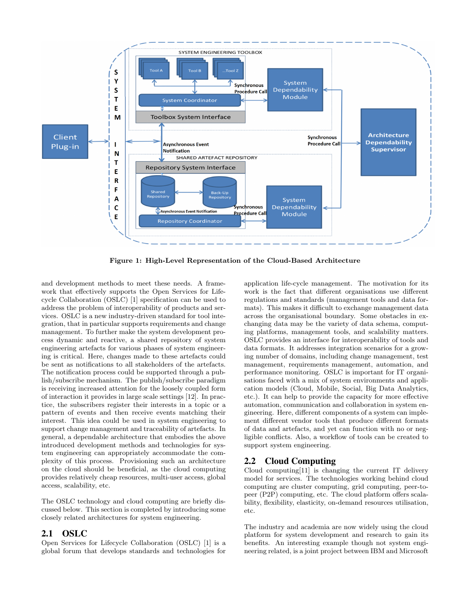

Figure 1: High-Level Representation of the Cloud-Based Architecture

and development methods to meet these needs. A framework that effectively supports the Open Services for Lifecycle Collaboration (OSLC) [1] specification can be used to address the problem of interoperability of products and services. OSLC is a new industry-driven standard for tool integration, that in particular supports requirements and change management. To further make the system development process dynamic and reactive, a shared repository of system engineering artefacts for various phases of system engineering is critical. Here, changes made to these artefacts could be sent as notifications to all stakeholders of the artefacts. The notification process could be supported through a publish/subscribe mechanism. The publish/subscribe paradigm is receiving increased attention for the loosely coupled form of interaction it provides in large scale settings [12]. In practice, the subscribers register their interests in a topic or a pattern of events and then receive events matching their interest. This idea could be used in system engineering to support change management and traceability of artefacts. In general, a dependable architecture that embodies the above introduced development methods and technologies for system engineering can appropriately accommodate the complexity of this process. Provisioning such an architecture on the cloud should be beneficial, as the cloud computing provides relatively cheap resources, multi-user access, global access, scalability, etc.

The OSLC technology and cloud computing are briefly discussed below. This section is completed by introducing some closely related architectures for system engineering.

#### 2.1 OSLC

Open Services for Lifecycle Collaboration (OSLC) [1] is a global forum that develops standards and technologies for

application life-cycle management. The motivation for its work is the fact that different organisations use different regulations and standards (management tools and data formats). This makes it difficult to exchange management data across the organisational boundary. Some obstacles in exchanging data may be the variety of data schema, computing platforms, management tools, and scalability matters. OSLC provides an interface for interoperability of tools and data formats. It addresses integration scenarios for a growing number of domains, including change management, test management, requirements management, automation, and performance monitoring. OSLC is important for IT organisations faced with a mix of system environments and application models (Cloud, Mobile, Social, Big Data Analytics, etc.). It can help to provide the capacity for more effective automation, communication and collaboration in system engineering. Here, different components of a system can implement different vendor tools that produce different formats of data and artefacts, and yet can function with no or negligible conflicts. Also, a workflow of tools can be created to support system engineering.

#### 2.2 Cloud Computing

Cloud computing[11] is changing the current IT delivery model for services. The technologies working behind cloud computing are cluster computing, grid computing, peer-topeer (P2P) computing, etc. The cloud platform offers scalability, flexibility, elasticity, on-demand resources utilisation, etc.

The industry and academia are now widely using the cloud platform for system development and research to gain its benefits. An interesting example though not system engineering related, is a joint project between IBM and Microsoft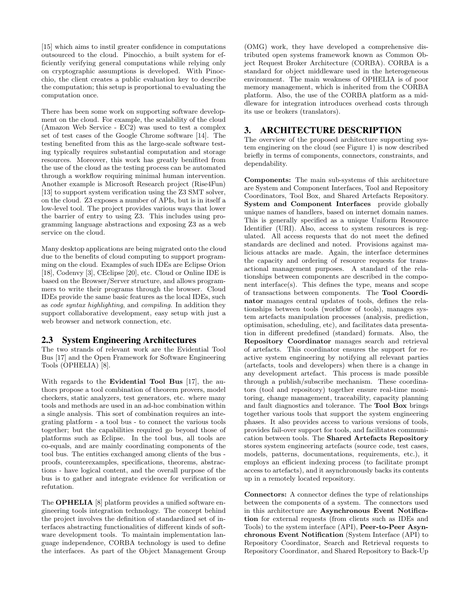[15] which aims to instil greater confidence in computations outsourced to the cloud. Pinocchio, a built system for efficiently verifying general computations while relying only on cryptographic assumptions is developed. With Pinocchio, the client creates a public evaluation key to describe the computation; this setup is proportional to evaluating the computation once.

There has been some work on supporting software development on the cloud. For example, the scalability of the cloud (Amazon Web Service - EC2) was used to test a complex set of test cases of the Google Chrome software [14]. The testing benefited from this as the large-scale software testing typically requires substantial computation and storage resources. Moreover, this work has greatly benifited from the use of the cloud as the testing process can be automated through a workflow requiring minimal human intervention. Another example is Microsoft Research project (Rise4Fun) [13] to support system verification using the Z3 SMT solver, on the cloud. Z3 exposes a number of APIs, but is in itself a low-level tool. The project provides various ways that lower the barrier of entry to using Z3. This includes using programming language abstractions and exposing Z3 as a web service on the cloud.

Many desktop applications are being migrated onto the cloud due to the benefits of cloud computing to support programming on the cloud. Examples of such IDEs are Eclipse Orion [18], Codenvy [3], CEclipse [20], etc. Cloud or Online IDE is based on the Browser/Server structure, and allows programmers to write their programs through the browser. Cloud IDEs provide the same basic features as the local IDEs, such as code syntax highlighting, and compiling. In addition they support collaborative development, easy setup with just a web browser and network connection, etc.

#### 2.3 System Engineering Architectures

The two strands of relevant work are the Evidential Tool Bus [17] and the Open Framework for Software Engineering Tools (OPHELIA) [8].

With regards to the Evidential Tool Bus [17], the authors propose a tool combination of theorem provers, model checkers, static analyzers, test generators, etc. where many tools and methods are used in an ad-hoc combination within a single analysis. This sort of combination requires an integrating platform - a tool bus - to connect the various tools together; but the capabilities required go beyond those of platforms such as Eclipse. In the tool bus, all tools are co-equals, and are mainly coordinating components of the tool bus. The entities exchanged among clients of the bus proofs, counterexamples, specifications, theorems, abstractions - have logical content, and the overall purpose of the bus is to gather and integrate evidence for verification or refutation.

The OPHELIA [8] platform provides a unified software engineering tools integration technology. The concept behind the project involves the definition of standardized set of interfaces abstracting functionalities of different kinds of software development tools. To maintain implementation language independence, CORBA technology is used to define the interfaces. As part of the Object Management Group (OMG) work, they have developed a comprehensive distributed open systems framework known as Common Object Request Broker Architecture (CORBA). CORBA is a standard for object middleware used in the heterogeneous environment. The main weakness of OPHELIA is of poor memory management, which is inherited from the CORBA platform. Also, the use of the CORBA platform as a middleware for integration introduces overhead costs through its use or brokers (translators).

### 3. ARCHITECTURE DESCRIPTION

The overview of the proposed architecture supporting system enginering on the cloud (see Figure 1) is now described briefly in terms of components, connectors, constraints, and dependability.

Components: The main sub-systems of this architecture are System and Component Interfaces, Tool and Repository Coordinators, Tool Box, and Shared Artefacts Repository. System and Component Interfaces provide globally unique names of handlers, based on internet domain names. This is generally specified as a unique Uniform Resource Identifier (URI). Also, access to system resources is regulated. All access requests that do not meet the defined standards are declined and noted. Provisions against malicious attacks are made. Again, the interface determines the capacity and ordering of resource requests for transactional management purposes. A standard of the relationships between components are described in the component interface(s). This defines the type, means and scope of transactions between components. The Tool Coordinator manages central updates of tools, defines the relationships between tools (workflow of tools), manages system artefacts manipulation processes (analysis, prediction, optimisation, scheduling, etc), and facilitates data presentation in different predefined (standard) formats. Also, the Repository Coordinator manages search and retrieval of artefacts. This coordinator ensures the support for reactive system engineering by notifying all relevant parties (artefacts, tools and developers) when there is a change in any development artefact. This process is made possible through a publish/subscribe mechanism. These coordinators (tool and repository) together ensure real-time monitoring, change management, traceability, capacity planning and fault diagnostics and tolerance. The Tool Box brings together various tools that support the system engineering phases. It also provides access to various versions of tools, provides fail-over support for tools, and facilitates communication between tools. The Shared Artefacts Repository stores system engineering artefacts (source code, test cases, models, patterns, documentations, requirements, etc.), it employs an efficient indexing process (to facilitate prompt access to artefacts), and it asynchronously backs its contents up in a remotely located repository.

Connectors: A connector defines the type of relationships between the components of a system. The connectors used in this architecture are Asynchronous Event Notification for external requests (from clients such as IDEs and Tools) to the system interface (API), Peer-to-Peer Asynchronous Event Notification (System Interface (API) to Repository Coordinator, Search and Retrieval requests to Repository Coordinator, and Shared Repository to Back-Up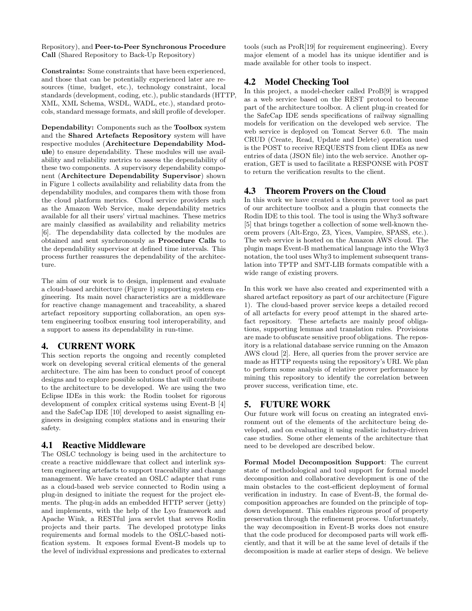Repository), and Peer-to-Peer Synchronous Procedure Call (Shared Repository to Back-Up Repository)

Constraints: Some constraints that have been experienced, and those that can be potentially experienced later are resources (time, budget, etc.), technology constraint, local standards (development, coding, etc.), public standards (HTTP, XML, XML Schema, WSDL, WADL, etc.), standard protocols, standard message formats, and skill profile of developer.

Dependability: Components such as the Toolbox system and the Shared Artefacts Repository system will have respective modules (Architecture Dependability Module) to ensure dependability. These modules will use availability and reliability metrics to assess the dependability of these two components. A supervisory dependability component (Architecture Dependability Supervisor) shown in Figure 1 collects availability and reliability data from the dependability modules, and compares them with those from the cloud platform metrics. Cloud service providers such as the Amazon Web Service, make dependability metrics available for all their users' virtual machines. These metrics are mainly classified as availability and reliability metrics [6]. The dependability data collected by the modules are obtained and sent synchronously as Procedure Calls to the dependability supervisor at defined time intervals. This process further reassures the dependability of the architecture.

The aim of our work is to design, implement and evaluate a cloud-based architecture (Figure 1) supporting system engineering. Its main novel characteristics are a middleware for reactive change management and traceability, a shared artefact repository supporting collaboration, an open system engineering toolbox ensuring tool interoperability, and a support to assess its dependability in run-time.

## 4. CURRENT WORK

This section reports the ongoing and recently completed work on developing several critical elements of the general architecture. The aim has been to conduct proof of concept designs and to explore possible solutions that will contribute to the architecture to be developed. We are using the two Eclipse IDEs in this work: the Rodin toolset for rigorous development of complex critical systems using Event-B [4] and the SafeCap IDE [10] developed to assist signalling engineers in designing complex stations and in ensuring their safety.

## 4.1 Reactive Middleware

The OSLC technology is being used in the architecture to create a reactive middleware that collect and interlink system engineering artefacts to support traceability and change management. We have created an OSLC adapter that runs as a cloud-based web service connected to Rodin using a plug-in designed to initiate the request for the project elements. The plug-in adds an embedded HTTP server (jetty) and implements, with the help of the Lyo framework and Apache Wink, a RESTful java servlet that serves Rodin projects and their parts. The developed prototype links requirements and formal models to the OSLC-based notification system. It exposes formal Event-B models up to the level of individual expressions and predicates to external

tools (such as ProR[19] for requirement engineering). Every major element of a model has its unique identifier and is made available for other tools to inspect.

## 4.2 Model Checking Tool

In this project, a model-checker called ProB[9] is wrapped as a web service based on the REST protocol to become part of the architecture toolbox. A client plug-in created for the SafeCap IDE sends specifications of railway signalling models for verification on the developed web service. The web service is deployed on Tomcat Server 6.0. The main CRUD (Create, Read, Update and Delete) operation used is the POST to receive REQUESTS from client IDEs as new entries of data (JSON file) into the web service. Another operation, GET is used to facilitate a RESPONSE with POST to return the verification results to the client.

## 4.3 Theorem Provers on the Cloud

In this work we have created a theorem prover tool as part of our architecture toolbox and a plugin that connects the Rodin IDE to this tool. The tool is using the Why3 software [5] that brings together a collection of some well-known theorem provers (Alt-Ergo, Z3, Yices, Vampire, SPASS, etc.). The web service is hosted on the Amazon AWS cloud. The plugin maps Event-B mathematical language into the Why3 notation, the tool uses Why3 to implement subsequent translation into TPTP and SMT-LIB formats compatible with a wide range of existing provers.

In this work we have also created and experimented with a shared artefact repository as part of our architecture (Figure 1). The cloud-based prover service keeps a detailed record of all artefacts for every proof attempt in the shared artefact repository. These artefacts are mainly proof obligations, supporting lemmas and translation rules. Provisions are made to obfuscate sensitive proof obligations. The repository is a relational database service running on the Amazon AWS cloud [2]. Here, all queries from the prover service are made as HTTP requests using the repository's URI. We plan to perform some analysis of relative prover performance by mining this repository to identify the correlation between prover success, verification time, etc.

## 5. FUTURE WORK

Our future work will focus on creating an integrated environment out of the elements of the architecture being developed, and on evaluating it using realistic industry-driven case studies. Some other elements of the architecture that need to be developed are described below.

Formal Model Decomposition Support: The current state of methodological and tool support for formal model decomposition and collaborative development is one of the main obstacles to the cost-efficient deployment of formal verification in industry. In case of Event-B, the formal decomposition approaches are founded on the principle of topdown development. This enables rigorous proof of property preservation through the refinement process. Unfortunately, the way decomposition in Event-B works does not ensure that the code produced for decomposed parts will work efficiently, and that it will be at the same level of details if the decomposition is made at earlier steps of design. We believe